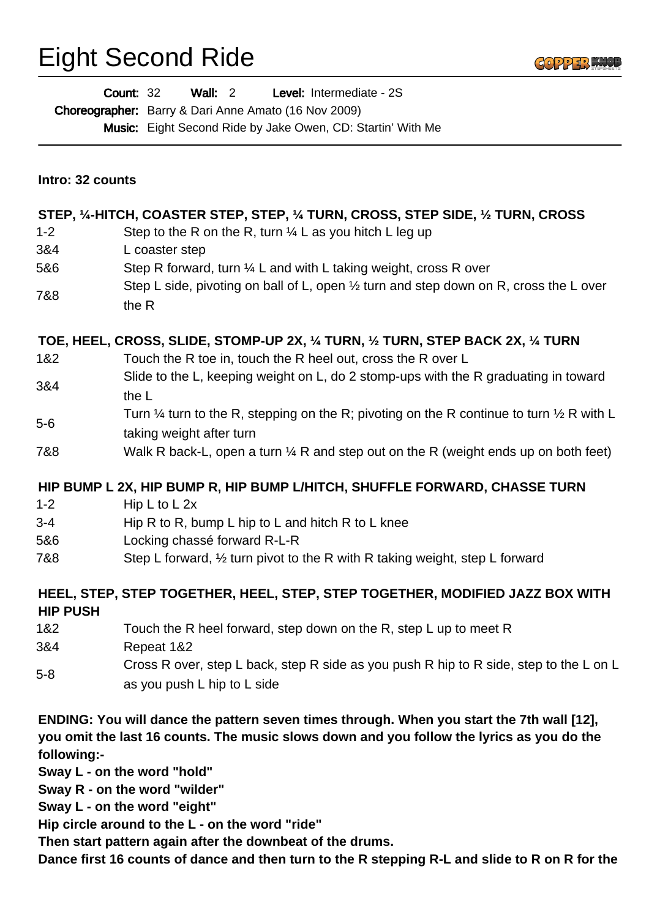## Eight Second Ride



|                  | Wall: $2$<br>Level: Intermediate - 2S<br><b>Count: 32</b><br>Choreographer: Barry & Dari Anne Amato (16 Nov 2009)<br>Music: Eight Second Ride by Jake Owen, CD: Startin' With Me |
|------------------|----------------------------------------------------------------------------------------------------------------------------------------------------------------------------------|
| Intro: 32 counts |                                                                                                                                                                                  |
|                  | STEP, 1/4-HITCH, COASTER STEP, STEP, 1/4 TURN, CROSS, STEP SIDE, 1/2 TURN, CROSS                                                                                                 |
| $1 - 2$          | Step to the R on the R, turn $\frac{1}{4}$ L as you hitch L leg up                                                                                                               |
| 3&4              | L coaster step                                                                                                                                                                   |
| 5&6              | Step R forward, turn $\frac{1}{4}$ L and with L taking weight, cross R over                                                                                                      |
| 7&8              | Step L side, pivoting on ball of L, open $\frac{1}{2}$ turn and step down on R, cross the L over<br>the R                                                                        |
|                  | TOE, HEEL, CROSS, SLIDE, STOMP-UP 2X, 1/4 TURN, 1/2 TURN, STEP BACK 2X, 1/4 TURN                                                                                                 |
| 1&2              | Touch the R toe in, touch the R heel out, cross the R over L                                                                                                                     |
| 3&4              | Slide to the L, keeping weight on L, do 2 stomp-ups with the R graduating in toward<br>the L                                                                                     |
| $5-6$            | Turn $\frac{1}{4}$ turn to the R, stepping on the R; pivoting on the R continue to turn $\frac{1}{2}$ R with L<br>taking weight after turn                                       |
| 7&8              | Walk R back-L, open a turn $\frac{1}{4}$ R and step out on the R (weight ends up on both feet)                                                                                   |
|                  | HIP BUMP L 2X, HIP BUMP R, HIP BUMP L/HITCH, SHUFFLE FORWARD, CHASSE TURN                                                                                                        |
| $1 - 2$          | Hip L to L 2x                                                                                                                                                                    |
| $3 - 4$          | Hip R to R, bump L hip to L and hitch R to L knee                                                                                                                                |
| 5&6              | Locking chassé forward R-L-R                                                                                                                                                     |
| 7&8              | Step L forward, $\frac{1}{2}$ turn pivot to the R with R taking weight, step L forward                                                                                           |
| <b>HIP PUSH</b>  | HEEL, STEP, STEP TOGETHER, HEEL, STEP, STEP TOGETHER, MODIFIED JAZZ BOX WITH                                                                                                     |
| 1&2              | Touch the R heel forward, step down on the R, step L up to meet R                                                                                                                |
| 3&4              | Repeat 1&2                                                                                                                                                                       |
| $5 - 8$          | Cross R over, step L back, step R side as you push R hip to R side, step to the L on L<br>as you push L hip to L side                                                            |
|                  | ENDING: You will dance the pattern seven times through. When you start the 7th wall [12],                                                                                        |

**you omit the last 16 counts. The music slows down and you follow the lyrics as you do the following:-**

**Sway L - on the word "hold"**

**Sway R - on the word "wilder"**

**Sway L - on the word "eight"**

**Hip circle around to the L - on the word "ride"**

**Then start pattern again after the downbeat of the drums.** 

**Dance first 16 counts of dance and then turn to the R stepping R-L and slide to R on R for the**